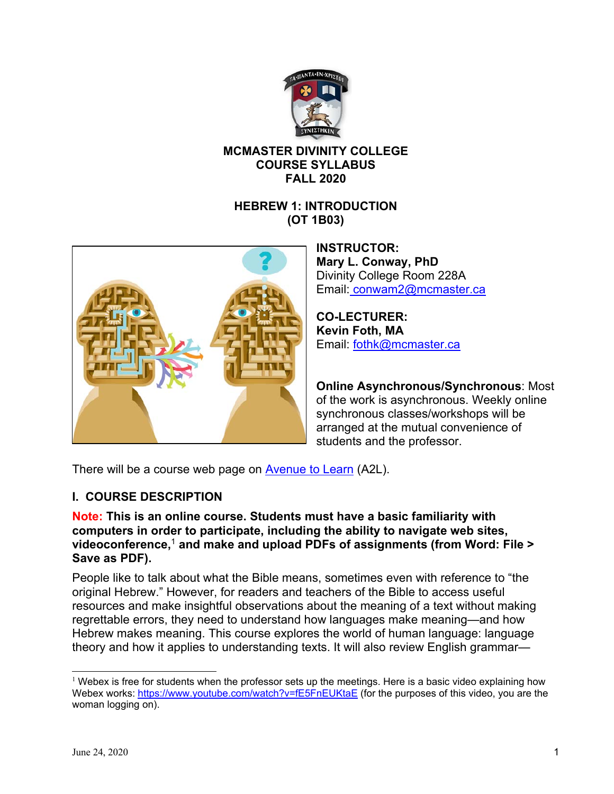

## **MCMASTER DIVINITY COLLEGE COURSE SYLLABUS FALL 2020**

### **HEBREW 1: INTRODUCTION (OT 1B03)**



**INSTRUCTOR: Mary L. Conway, PhD**  Divinity College Room 228A Email: conwam2@mcmaster.ca

**CO-LECTURER: Kevin Foth, MA**  Email: fothk@mcmaster.ca

**Online Asynchronous/Synchronous**: Most of the work is asynchronous. Weekly online synchronous classes/workshops will be arranged at the mutual convenience of students and the professor.

There will be a course web page on Avenue to Learn (A2L).

## **I. COURSE DESCRIPTION**

#### **Note: This is an online course. Students must have a basic familiarity with computers in order to participate, including the ability to navigate web sites, videoconference,**<sup>1</sup> **and make and upload PDFs of assignments (from Word: File > Save as PDF).**

People like to talk about what the Bible means, sometimes even with reference to "the original Hebrew." However, for readers and teachers of the Bible to access useful resources and make insightful observations about the meaning of a text without making regrettable errors, they need to understand how languages make meaning—and how Hebrew makes meaning. This course explores the world of human language: language theory and how it applies to understanding texts. It will also review English grammar—

 $1$  Webex is free for students when the professor sets up the meetings. Here is a basic video explaining how Webex works: https://www.youtube.com/watch?v=fE5FnEUKtaE (for the purposes of this video, you are the woman logging on).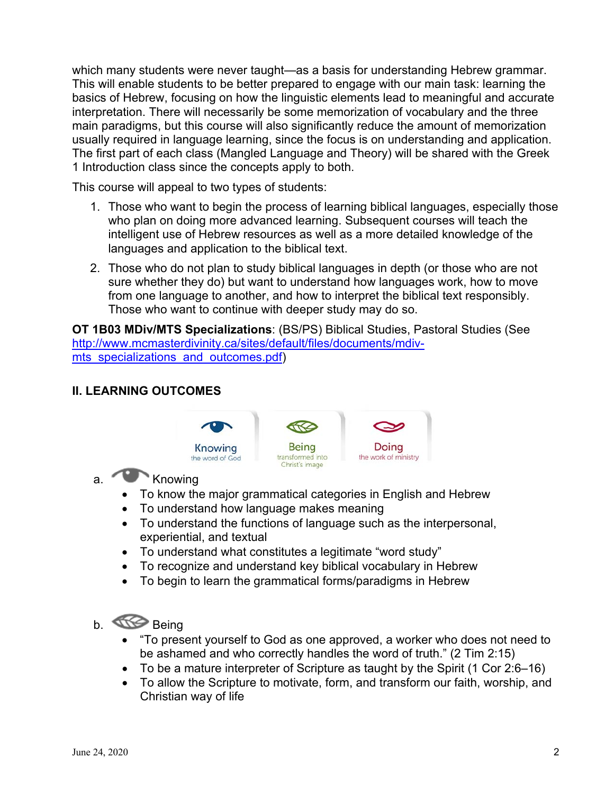which many students were never taught—as a basis for understanding Hebrew grammar. This will enable students to be better prepared to engage with our main task: learning the basics of Hebrew, focusing on how the linguistic elements lead to meaningful and accurate interpretation. There will necessarily be some memorization of vocabulary and the three main paradigms, but this course will also significantly reduce the amount of memorization usually required in language learning, since the focus is on understanding and application. The first part of each class (Mangled Language and Theory) will be shared with the Greek 1 Introduction class since the concepts apply to both.

This course will appeal to two types of students:

- 1. Those who want to begin the process of learning biblical languages, especially those who plan on doing more advanced learning. Subsequent courses will teach the intelligent use of Hebrew resources as well as a more detailed knowledge of the languages and application to the biblical text.
- 2. Those who do not plan to study biblical languages in depth (or those who are not sure whether they do) but want to understand how languages work, how to move from one language to another, and how to interpret the biblical text responsibly. Those who want to continue with deeper study may do so.

**OT 1B03 MDiv/MTS Specializations**: (BS/PS) Biblical Studies, Pastoral Studies (See http://www.mcmasterdivinity.ca/sites/default/files/documents/mdivmts specializations and outcomes.pdf)

## **II. LEARNING OUTCOMES**



# a. Knowing

- To know the major grammatical categories in English and Hebrew
- To understand how language makes meaning
- To understand the functions of language such as the interpersonal, experiential, and textual
- To understand what constitutes a legitimate "word study"
- To recognize and understand key biblical vocabulary in Hebrew
- To begin to learn the grammatical forms/paradigms in Hebrew

# b. **Being**

- "To present yourself to God as one approved, a worker who does not need to be ashamed and who correctly handles the word of truth." (2 Tim 2:15)
- To be a mature interpreter of Scripture as taught by the Spirit (1 Cor 2:6–16)
- To allow the Scripture to motivate, form, and transform our faith, worship, and Christian way of life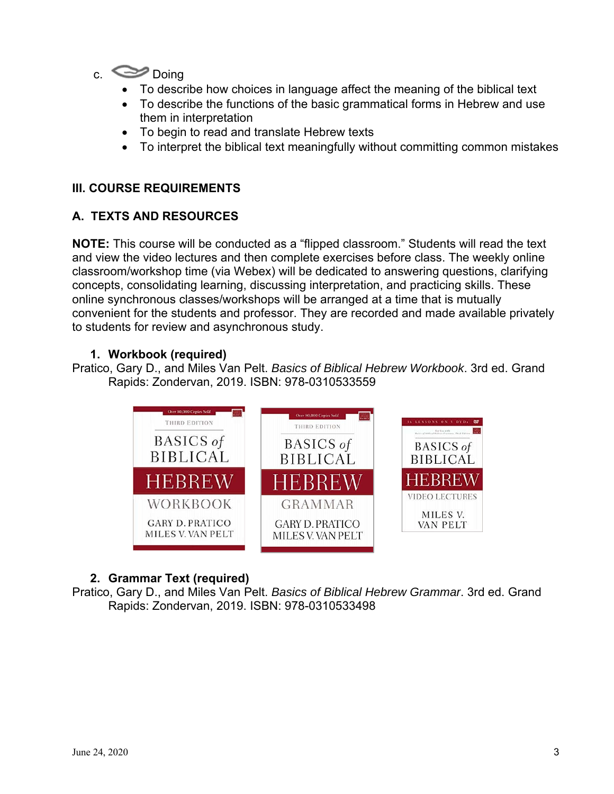

- To describe how choices in language affect the meaning of the biblical text
- To describe the functions of the basic grammatical forms in Hebrew and use them in interpretation
- To begin to read and translate Hebrew texts
- To interpret the biblical text meaningfully without committing common mistakes

### **III. COURSE REQUIREMENTS**

#### **A. TEXTS AND RESOURCES**

**NOTE:** This course will be conducted as a "flipped classroom." Students will read the text and view the video lectures and then complete exercises before class. The weekly online classroom/workshop time (via Webex) will be dedicated to answering questions, clarifying concepts, consolidating learning, discussing interpretation, and practicing skills. These online synchronous classes/workshops will be arranged at a time that is mutually convenient for the students and professor. They are recorded and made available privately to students for review and asynchronous study.

### **1. Workbook (required)**

Pratico, Gary D., and Miles Van Pelt. *Basics of Biblical Hebrew Workbook*. 3rd ed. Grand Rapids: Zondervan, 2019. ISBN: 978-0310533559



## **2. Grammar Text (required)**

Pratico, Gary D., and Miles Van Pelt. *Basics of Biblical Hebrew Grammar*. 3rd ed. Grand Rapids: Zondervan, 2019. ISBN: 978-0310533498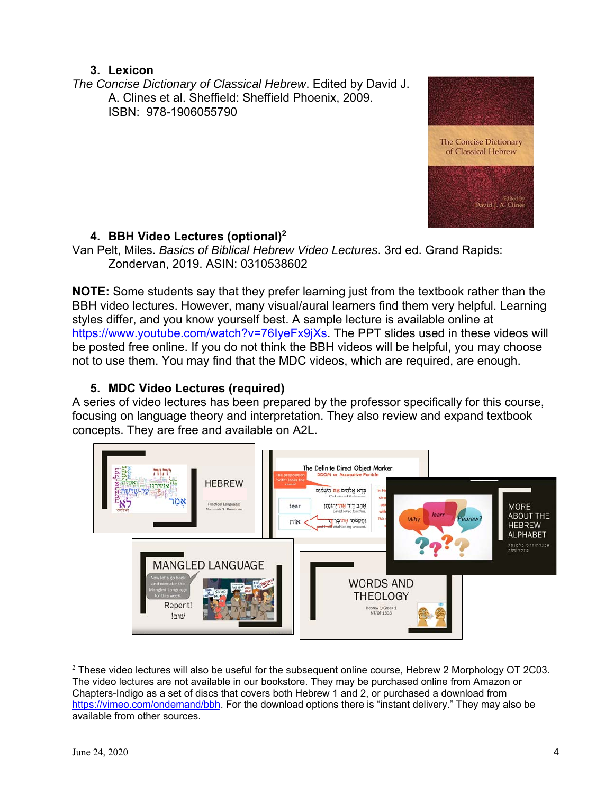## **3. Lexicon**

*The Concise Dictionary of Classical Hebrew*. Edited by David J. A. Clines et al. Sheffield: Sheffield Phoenix, 2009. ISBN: 978-1906055790



## **4. BBH Video Lectures (optional)2**

Van Pelt, Miles. *Basics of Biblical Hebrew Video Lectures*. 3rd ed. Grand Rapids: Zondervan, 2019. ASIN: 0310538602

**NOTE:** Some students say that they prefer learning just from the textbook rather than the BBH video lectures. However, many visual/aural learners find them very helpful. Learning styles differ, and you know yourself best. A sample lecture is available online at https://www.youtube.com/watch?v=76IyeFx9jXs. The PPT slides used in these videos will be posted free online. If you do not think the BBH videos will be helpful, you may choose not to use them. You may find that the MDC videos, which are required, are enough.

## **5. MDC Video Lectures (required)**

A series of video lectures has been prepared by the professor specifically for this course, focusing on language theory and interpretation. They also review and expand textbook concepts. They are free and available on A2L.



 $^2$  These video lectures will also be useful for the subsequent online course, Hebrew 2 Morphology OT 2C03. The video lectures are not available in our bookstore. They may be purchased online from Amazon or Chapters-Indigo as a set of discs that covers both Hebrew 1 and 2, or purchased a download from https://vimeo.com/ondemand/bbh. For the download options there is "instant delivery." They may also be available from other sources.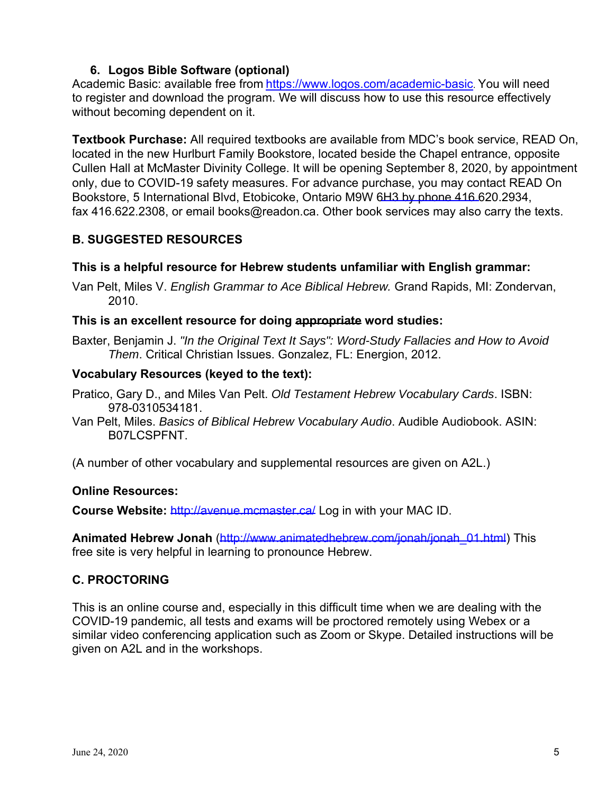## **6. Logos Bible Software (optional)**

Academic Basic: available free from https://www.logos.com/academic-basic. You will need to register and download the program. We will discuss how to use this resource effectively without becoming dependent on it.

**Textbook Purchase:** All required textbooks are available from MDC's book service, READ On, located in the new Hurlburt Family Bookstore, located beside the Chapel entrance, opposite Cullen Hall at McMaster Divinity College. It will be opening September 8, 2020, by appointment only, due to COVID-19 safety measures. For advance purchase, you may contact READ On Bookstore, 5 International Blvd, Etobicoke, Ontario M9W 6H3 by phone 416.620.2934, fax 416.622.2308, or email books@readon.ca. Other book services may also carry the texts.

## **B. SUGGESTED RESOURCES**

## **This is a helpful resource for Hebrew students unfamiliar with English grammar:**

Van Pelt, Miles V. *English Grammar to Ace Biblical Hebrew.* Grand Rapids, MI: Zondervan, 2010.

## **This is an excellent resource for doing appropriate word studies:**

Baxter, Benjamin J. *"In the Original Text It Says": Word-Study Fallacies and How to Avoid Them*. Critical Christian Issues. Gonzalez, FL: Energion, 2012.

## **Vocabulary Resources (keyed to the text):**

- Pratico, Gary D., and Miles Van Pelt. *Old Testament Hebrew Vocabulary Cards*. ISBN: 978-0310534181.
- Van Pelt, Miles. *Basics of Biblical Hebrew Vocabulary Audio*. Audible Audiobook. ASIN: B07LCSPFNT.

(A number of other vocabulary and supplemental resources are given on A2L.)

## **Online Resources:**

**Course Website:** http://avenue.mcmaster.ca/ Log in with your MAC ID.

**Animated Hebrew Jonah** (http://www.animatedhebrew.com/jonah/jonah\_01.html) This free site is very helpful in learning to pronounce Hebrew.

## **C. PROCTORING**

This is an online course and, especially in this difficult time when we are dealing with the COVID-19 pandemic, all tests and exams will be proctored remotely using Webex or a similar video conferencing application such as Zoom or Skype. Detailed instructions will be given on A2L and in the workshops.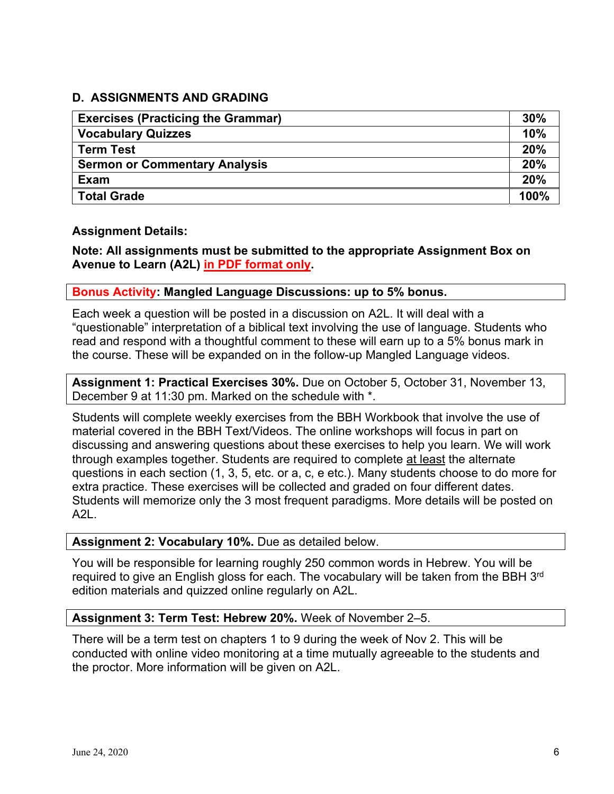### **D. ASSIGNMENTS AND GRADING**

| <b>Exercises (Practicing the Grammar)</b> | 30%  |
|-------------------------------------------|------|
| <b>Vocabulary Quizzes</b>                 | 10%  |
| <b>Term Test</b>                          | 20%  |
| <b>Sermon or Commentary Analysis</b>      | 20%  |
| <b>Exam</b>                               | 20%  |
| <b>Total Grade</b>                        | 100% |

#### **Assignment Details:**

**Note: All assignments must be submitted to the appropriate Assignment Box on Avenue to Learn (A2L) in PDF format only.** 

#### **Bonus Activity: Mangled Language Discussions: up to 5% bonus.**

Each week a question will be posted in a discussion on A2L. It will deal with a "questionable" interpretation of a biblical text involving the use of language. Students who read and respond with a thoughtful comment to these will earn up to a 5% bonus mark in the course. These will be expanded on in the follow-up Mangled Language videos.

**Assignment 1: Practical Exercises 30%.** Due on October 5, October 31, November 13, December 9 at 11:30 pm. Marked on the schedule with \*.

Students will complete weekly exercises from the BBH Workbook that involve the use of material covered in the BBH Text/Videos. The online workshops will focus in part on discussing and answering questions about these exercises to help you learn. We will work through examples together. Students are required to complete at least the alternate questions in each section (1, 3, 5, etc. or a, c, e etc.). Many students choose to do more for extra practice. These exercises will be collected and graded on four different dates. Students will memorize only the 3 most frequent paradigms. More details will be posted on A2L.

#### **Assignment 2: Vocabulary 10%.** Due as detailed below.

You will be responsible for learning roughly 250 common words in Hebrew. You will be required to give an English gloss for each. The vocabulary will be taken from the BBH 3<sup>rd</sup> edition materials and quizzed online regularly on A2L.

#### **Assignment 3: Term Test: Hebrew 20%.** Week of November 2–5.

There will be a term test on chapters 1 to 9 during the week of Nov 2. This will be conducted with online video monitoring at a time mutually agreeable to the students and the proctor. More information will be given on A2L.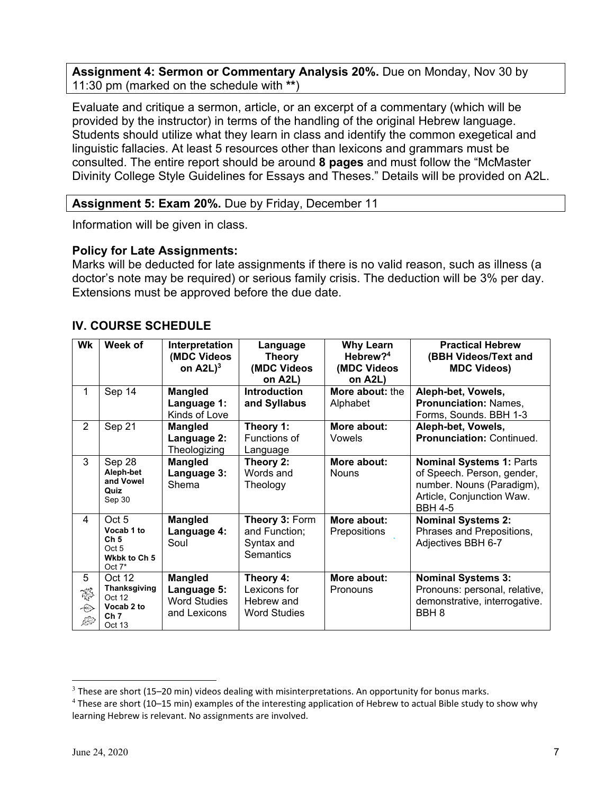**Assignment 4: Sermon or Commentary Analysis 20%.** Due on Monday, Nov 30 by 11:30 pm (marked on the schedule with **\*\***)

Evaluate and critique a sermon, article, or an excerpt of a commentary (which will be provided by the instructor) in terms of the handling of the original Hebrew language. Students should utilize what they learn in class and identify the common exegetical and linguistic fallacies. At least 5 resources other than lexicons and grammars must be consulted. The entire report should be around **8 pages** and must follow the "McMaster Divinity College Style Guidelines for Essays and Theses." Details will be provided on A2L.

#### **Assignment 5: Exam 20%.** Due by Friday, December 11

Information will be given in class.

#### **Policy for Late Assignments:**

Marks will be deducted for late assignments if there is no valid reason, such as illness (a doctor's note may be required) or serious family crisis. The deduction will be 3% per day. Extensions must be approved before the due date.

#### **IV. COURSE SCHEDULE**

| Wk               | Week of                                                                              | Interpretation<br>(MDC Videos<br>on $A2L$ <sup>3</sup>               | Language<br><b>Theory</b><br>(MDC Videos<br>on A2L)            | <b>Why Learn</b><br>Hebrew? <sup>4</sup><br>(MDC Videos<br>on A2L) | <b>Practical Hebrew</b><br>(BBH Videos/Text and<br><b>MDC Videos)</b>                                                                     |
|------------------|--------------------------------------------------------------------------------------|----------------------------------------------------------------------|----------------------------------------------------------------|--------------------------------------------------------------------|-------------------------------------------------------------------------------------------------------------------------------------------|
| 1                | Sep 14                                                                               | <b>Mangled</b><br>Language 1:<br>Kinds of Love                       | <b>Introduction</b><br>and Syllabus                            | More about: the<br>Alphabet                                        | Aleph-bet, Vowels,<br><b>Pronunciation: Names,</b><br>Forms, Sounds. BBH 1-3                                                              |
| $\overline{2}$   | Sep 21                                                                               | <b>Mangled</b><br>Language 2:<br>Theologizing                        | Theory 1:<br>Functions of<br>Language                          | More about:<br>Vowels                                              | Aleph-bet, Vowels,<br>Pronunciation: Continued.                                                                                           |
| 3                | Sep 28<br>Aleph-bet<br>and Vowel<br>Quiz<br>Sep 30                                   | <b>Mangled</b><br>Language 3:<br>Shema                               | Theory 2:<br>Words and<br>Theology                             | More about:<br><b>Nouns</b>                                        | <b>Nominal Systems 1: Parts</b><br>of Speech. Person, gender,<br>number. Nouns (Paradigm),<br>Article, Conjunction Waw.<br><b>BBH 4-5</b> |
| 4                | Oct <sub>5</sub><br>Vocab 1 to<br>Ch <sub>5</sub><br>Oct 5<br>Wkbk to Ch 5<br>Oct 7* | <b>Mangled</b><br>Language 4:<br>Soul                                | Theory 3: Form<br>and Function;<br>Syntax and<br>Semantics     | More about:<br>Prepositions                                        | <b>Nominal Systems 2:</b><br>Phrases and Prepositions,<br>Adjectives BBH 6-7                                                              |
| 5<br>終<br>⊕<br>⊯ | Oct 12<br><b>Thanksgiving</b><br>Oct 12<br>Vocab 2 to<br>Ch <sub>7</sub><br>Oct 13   | <b>Mangled</b><br>Language 5:<br><b>Word Studies</b><br>and Lexicons | Theory 4:<br>Lexicons for<br>Hebrew and<br><b>Word Studies</b> | More about:<br>Pronouns                                            | <b>Nominal Systems 3:</b><br>Pronouns: personal, relative,<br>demonstrative, interrogative.<br>BBH <sub>8</sub>                           |

 $3$  These are short (15–20 min) videos dealing with misinterpretations. An opportunity for bonus marks.

<sup>&</sup>lt;sup>4</sup> These are short (10–15 min) examples of the interesting application of Hebrew to actual Bible study to show why learning Hebrew is relevant. No assignments are involved.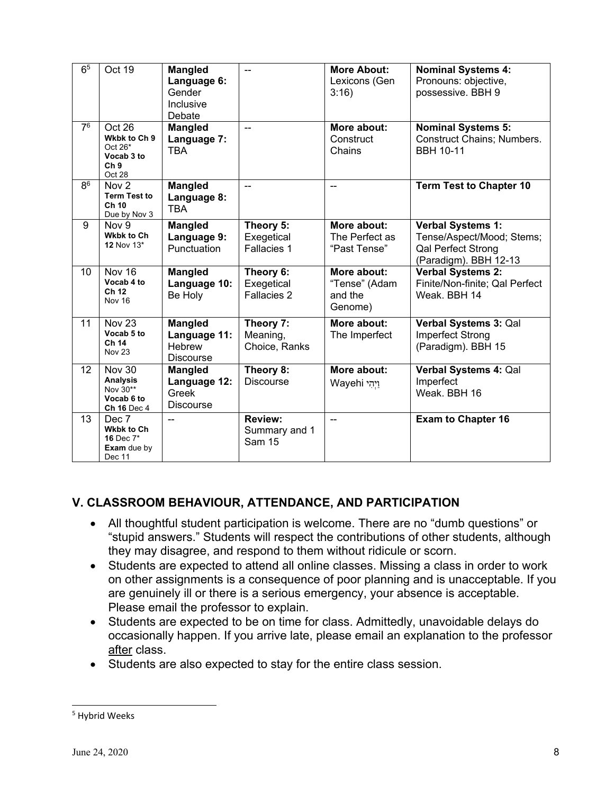| 6 <sup>5</sup> | Oct 19                                                                       | <b>Mangled</b><br>Language 6:<br>Gender                             | --                                               | <b>More About:</b><br>Lexicons (Gen<br>3:16        | <b>Nominal Systems 4:</b><br>Pronouns: objective,<br>possessive. BBH 9                                      |
|----------------|------------------------------------------------------------------------------|---------------------------------------------------------------------|--------------------------------------------------|----------------------------------------------------|-------------------------------------------------------------------------------------------------------------|
|                |                                                                              | Inclusive<br>Debate                                                 |                                                  |                                                    |                                                                                                             |
| 7 <sup>6</sup> | Oct 26<br>Wkbk to Ch 9<br>Oct 26*<br>Vocab 3 to<br>Ch <sub>9</sub><br>Oct 28 | <b>Mangled</b><br>Language 7:<br><b>TBA</b>                         | --                                               | More about:<br>Construct<br>Chains                 | <b>Nominal Systems 5:</b><br>Construct Chains; Numbers.<br><b>BBH 10-11</b>                                 |
| 8 <sup>6</sup> | Nov <sub>2</sub><br><b>Term Test to</b><br>Ch 10<br>Due by Nov 3             | <b>Mangled</b><br>Language 8:<br><b>TBA</b>                         | u.                                               | $\overline{a}$                                     | <b>Term Test to Chapter 10</b>                                                                              |
| $\overline{9}$ | Nov 9<br><b>Wkbk to Ch</b><br>12 Nov $13*$                                   | <b>Mangled</b><br>Language 9:<br>Punctuation                        | Theory 5:<br>Exegetical<br>Fallacies 1           | More about:<br>The Perfect as<br>"Past Tense"      | <b>Verbal Systems 1:</b><br>Tense/Aspect/Mood; Stems;<br><b>Qal Perfect Strong</b><br>(Paradigm). BBH 12-13 |
| 10             | Nov 16<br>Vocab 4 to<br>Ch 12<br><b>Nov 16</b>                               | <b>Mangled</b><br>Language 10:<br>Be Holy                           | Theory 6:<br>Exegetical<br>Fallacies 2           | More about:<br>"Tense" (Adam<br>and the<br>Genome) | <b>Verbal Systems 2:</b><br>Finite/Non-finite; Qal Perfect<br>Weak, BBH 14                                  |
| 11             | Nov <sub>23</sub><br>Vocab 5 to<br>Ch 14<br><b>Nov 23</b>                    | <b>Mangled</b><br>Language 11:<br><b>Hebrew</b><br><b>Discourse</b> | Theory 7:<br>Meaning,<br>Choice, Ranks           | More about:<br>The Imperfect                       | Verbal Systems 3: Qal<br>Imperfect Strong<br>(Paradigm). BBH 15                                             |
| 12             | Nov 30<br><b>Analysis</b><br>Nov 30**<br>Vocab 6 to<br><b>Ch 16 Dec 4</b>    | <b>Mangled</b><br>Language 12:<br>Greek<br><b>Discourse</b>         | Theory 8:<br><b>Discourse</b>                    | More about:<br>Wayehi וַיְהִי                      | Verbal Systems 4: Qal<br>Imperfect<br>Weak. BBH 16                                                          |
| 13             | Dec 7<br><b>Wkbk to Ch</b><br>16 Dec 7*<br>Exam due by<br>Dec 11             | $-$                                                                 | <b>Review:</b><br>Summary and 1<br><b>Sam 15</b> | --                                                 | <b>Exam to Chapter 16</b>                                                                                   |

## **V. CLASSROOM BEHAVIOUR, ATTENDANCE, AND PARTICIPATION**

- All thoughtful student participation is welcome. There are no "dumb questions" or "stupid answers." Students will respect the contributions of other students, although they may disagree, and respond to them without ridicule or scorn.
- Students are expected to attend all online classes. Missing a class in order to work on other assignments is a consequence of poor planning and is unacceptable. If you are genuinely ill or there is a serious emergency, your absence is acceptable. Please email the professor to explain.
- Students are expected to be on time for class. Admittedly, unavoidable delays do occasionally happen. If you arrive late, please email an explanation to the professor after class.
- Students are also expected to stay for the entire class session.

<sup>5</sup> Hybrid Weeks